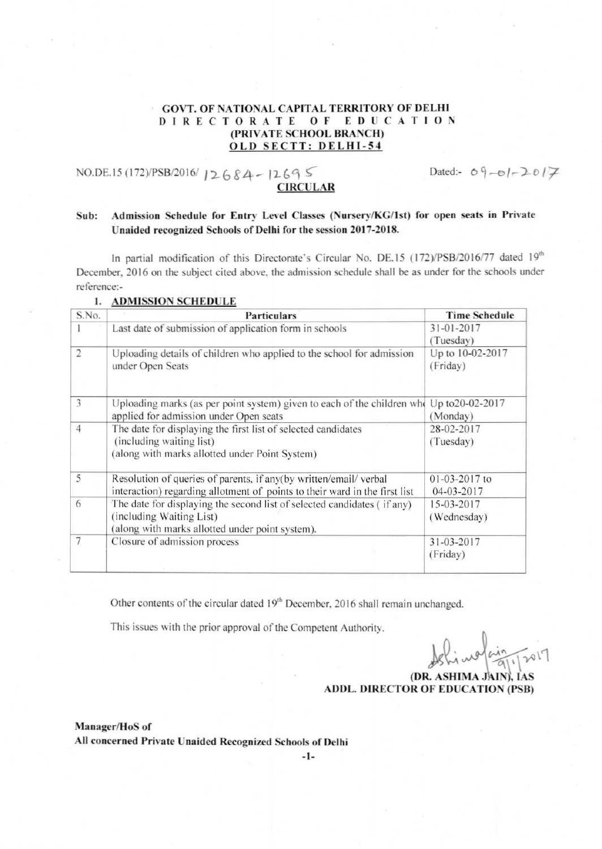## GOVT. OF NATlONAL CAPITAL TERRITORY OF DELHI DIRECTORATE OF EDUCATION (PRIVATE SCHOOL BRANCH) OLD SECTT: DELHI-54

NO.DE.15 (172)/PSB/2016/12684-12695 **CIRCULA** 

Dated:-  $09 -01 - 2017$ 

## Sub: Admission Schedule for Entry Level Classes (Nursery/KG/lst) for open seats in Private Unaided recognized Schools of Delhi for the session 2017-2018.

In partial modification of this Directorate's Circular No. DE.15 (172)/PSB/2016/77 dated 19<sup>th</sup> December, 2016 on the subject cited above. the admission schedule shall be as under for the schools under reference..

| S.No.          | <b>Particulars</b>                                                                                                                                     | <b>Time Schedule</b>         |
|----------------|--------------------------------------------------------------------------------------------------------------------------------------------------------|------------------------------|
|                | Last date of submission of application form in schools                                                                                                 | 31-01-2017<br>(Tuesday)      |
| $\overline{2}$ | Uploading details of children who applied to the school for admission<br>under Open Seats                                                              | Up to 10-02-2017<br>(Friday) |
| 3              | Uploading marks (as per point system) given to each of the children who Up to 20-02-2017<br>applied for admission under Open seats                     | (Monday)                     |
| $\overline{4}$ | The date for displaying the first list of selected candidates<br>(including waiting list)<br>(along with marks allotted under Point System)            | 28-02-2017<br>(Tuesday)      |
| 5              | Resolution of queries of parents, if any(by written/email/ verbal<br>interaction) regarding allotment of points to their ward in the first list        | 01-03-2017 to<br>04-03-2017  |
| 6              | The date for displaying the second list of selected candidates (if any)<br>(including Waiting List)<br>(along with marks allotted under point system). | 15-03-2017<br>(Wednesday)    |
| $\overline{7}$ | Closure of admission process                                                                                                                           | 31-03-2017<br>(Friday)       |

1. ADMISSION SCHEDULE

Other contents of the circular dated 19<sup>th</sup> December, 2016 shall remain unchanged.

This issues with the prior approval of the Competent Authority.

*Johimalain, por* 

(DR. ASHIMA JAIN), IAS ADDL. DIRECTOR OF EDUCATION (PSB)

Manager/HoS of All concerned Private Unaided Recognized Schools of Delhi

-1-